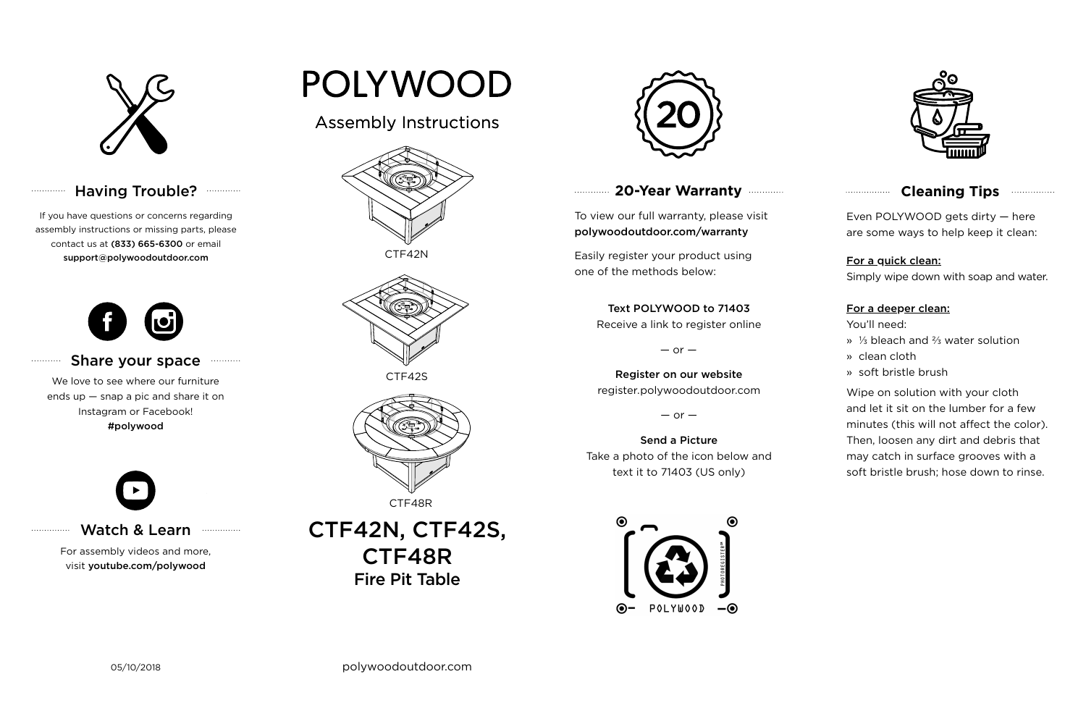

## Having Trouble? **...........**

## **20-Year Warranty**

To view our full warranty, please visit polywoodoutdoor.com/warranty

Easily register your product using one of the methods below:

Even POLYWOOD gets dirty — here are some ways to help keep it clean:

For a quick clean:

Simply wipe down with soap and water.

#### For a deeper clean:

You'll need:

- » ⅓ bleach and ⅔ water solution
- » clean cloth
- » soft bristle brush

Wipe on solution with your cloth and let it sit on the lumber for a few minutes (this will not affect the color). Then, loosen any dirt and debris that may catch in surface grooves with a soft bristle brush; hose down to rinse.

#### Share your space  $1.1.1.1.1.1.1.1.1$

## Text POLYWOOD to 71403

#### IN, UI<br>TE*a*o UITUI\<br>Firstingenti CTF42N, CTF42S, CTF48R Fire Pit Table



Receive a link to register online

 $-$  or  $-$ 

## Register on our website register.polywoodoutdoor.com

 $-$  or  $-$ 

#### Send a Picture

Take a photo of the icon below and text it to 71403 (US only)





## **Cleaning Tips <b>Cleaning**</u>

## Watch & Learn

For assembly videos and more, visit youtube.com/polywood

# POLYWOOD

If you have questions or concerns regarding assembly instructions or missing parts, please contact us at (833) 665-6300 or email support@polywoodoutdoor.com

. . . . . . . . . . . .

. . . . . . . . . . .

. . . . . . . . . . . . . . .



We love to see where our furniture ends up — snap a pic and share it on Instagram or Facebook! #polywood



## Assembly Instructions





CTF42S



CTF48R